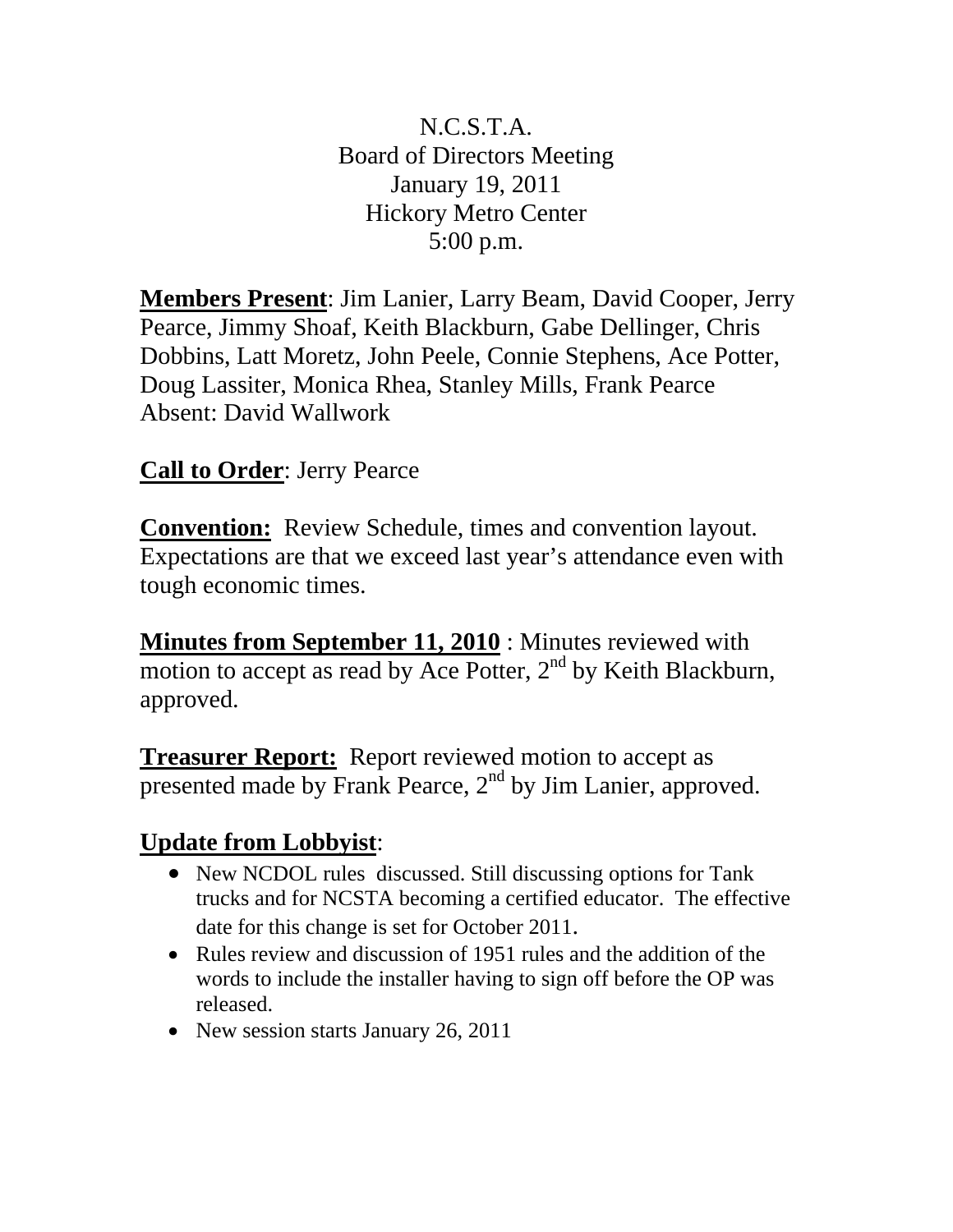N.C.S.T.A. Board of Directors Meeting January 19, 2011 Hickory Metro Center 5:00 p.m.

**Members Present**: Jim Lanier, Larry Beam, David Cooper, Jerry Pearce, Jimmy Shoaf, Keith Blackburn, Gabe Dellinger, Chris Dobbins, Latt Moretz, John Peele, Connie Stephens, Ace Potter, Doug Lassiter, Monica Rhea, Stanley Mills, Frank Pearce Absent: David Wallwork

## **Call to Order**: Jerry Pearce

**Convention:** Review Schedule, times and convention layout. Expectations are that we exceed last year's attendance even with tough economic times.

**Minutes from September 11, 2010** : Minutes reviewed with motion to accept as read by Ace Potter,  $2<sup>nd</sup>$  by Keith Blackburn, approved.

**Treasurer Report:** Report reviewed motion to accept as presented made by Frank Pearce,  $2<sup>nd</sup>$  by Jim Lanier, approved.

## **Update from Lobbyist**:

- New NCDOL rules discussed. Still discussing options for Tank trucks and for NCSTA becoming a certified educator. The effective date for this change is set for October 2011.
- Rules review and discussion of 1951 rules and the addition of the words to include the installer having to sign off before the OP was released.
- New session starts January 26, 2011